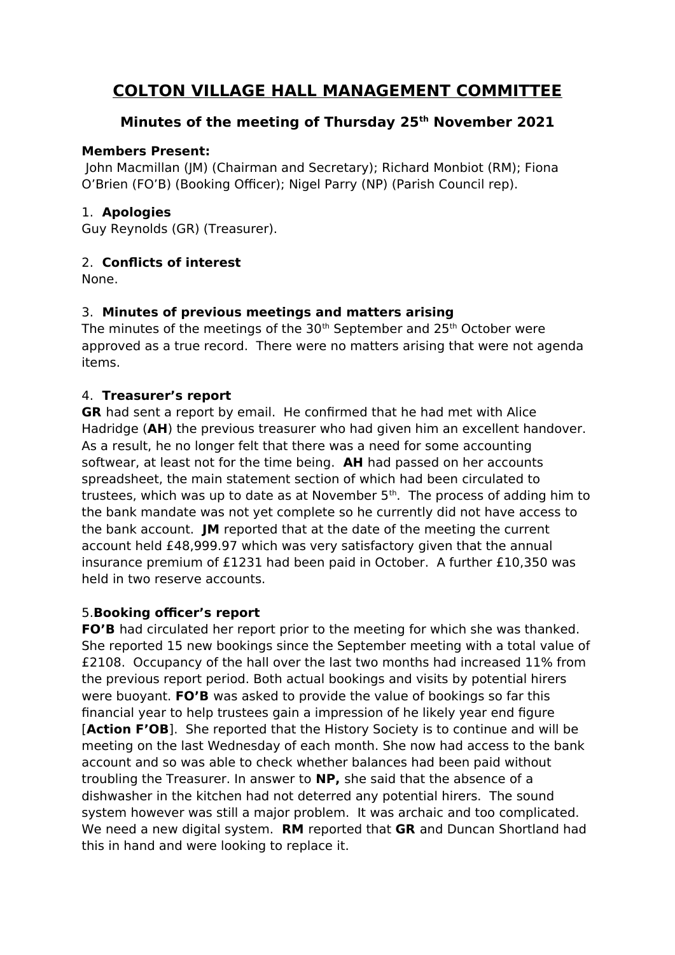# **COLTON VILLAGE HALL MANAGEMENT COMMITTEE**

## **Minutes of the meeting of Thursday 25th November 2021**

#### **Members Present:**

 John Macmillan (JM) (Chairman and Secretary); Richard Monbiot (RM); Fiona O'Brien (FO'B) (Booking Officer); Nigel Parry (NP) (Parish Council rep).

### 1. **Apologies**

Guy Reynolds (GR) (Treasurer).

## 2. **Conflicts of interest**

None.

## 3. **Minutes of previous meetings and matters arising**

The minutes of the meetings of the  $30<sup>th</sup>$  September and  $25<sup>th</sup>$  October were approved as a true record. There were no matters arising that were not agenda items.

### 4. **Treasurer's report**

**GR** had sent a report by email. He confirmed that he had met with Alice Hadridge (**AH**) the previous treasurer who had given him an excellent handover. As a result, he no longer felt that there was a need for some accounting softwear, at least not for the time being. **AH** had passed on her accounts spreadsheet, the main statement section of which had been circulated to trustees, which was up to date as at November  $5<sup>th</sup>$ . The process of adding him to the bank mandate was not yet complete so he currently did not have access to the bank account. **JM** reported that at the date of the meeting the current account held £48,999.97 which was very satisfactory given that the annual insurance premium of £1231 had been paid in October. A further £10,350 was held in two reserve accounts.

### 5.**Booking officer's report**

**FO'B** had circulated her report prior to the meeting for which she was thanked. She reported 15 new bookings since the September meeting with a total value of £2108. Occupancy of the hall over the last two months had increased 11% from the previous report period. Both actual bookings and visits by potential hirers were buoyant. **FO'B** was asked to provide the value of bookings so far this financial year to help trustees gain a impression of he likely year end figure [**Action F'OB**]. She reported that the History Society is to continue and will be meeting on the last Wednesday of each month. She now had access to the bank account and so was able to check whether balances had been paid without troubling the Treasurer. In answer to **NP,** she said that the absence of a dishwasher in the kitchen had not deterred any potential hirers. The sound system however was still a major problem. It was archaic and too complicated. We need a new digital system. **RM** reported that **GR** and Duncan Shortland had this in hand and were looking to replace it.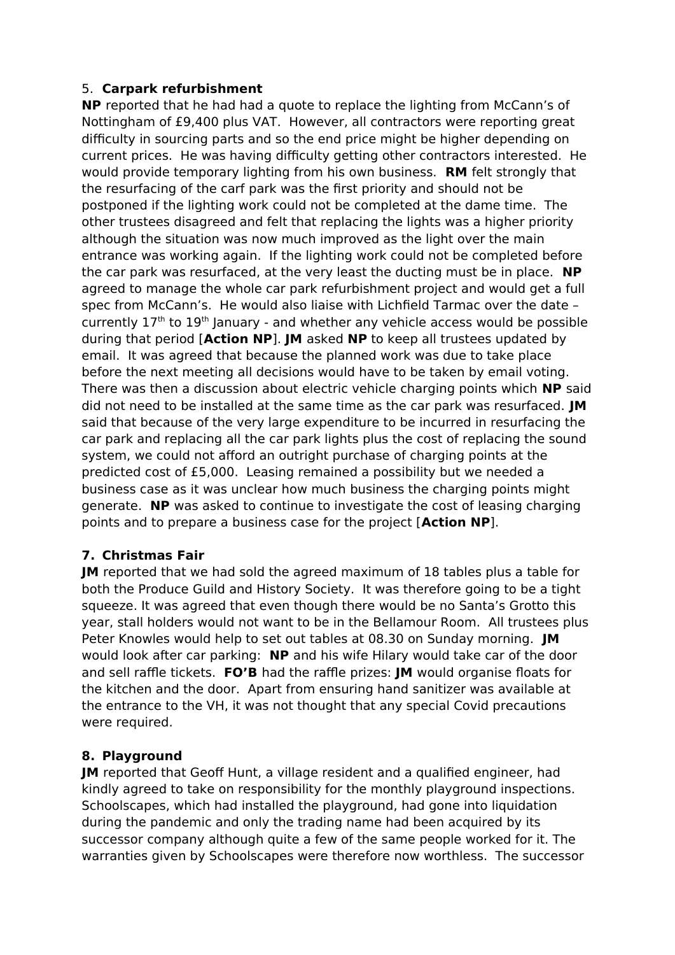### 5. **Carpark refurbishment**

**NP** reported that he had had a quote to replace the lighting from McCann's of Nottingham of £9,400 plus VAT. However, all contractors were reporting great difficulty in sourcing parts and so the end price might be higher depending on current prices. He was having difficulty getting other contractors interested. He would provide temporary lighting from his own business. **RM** felt strongly that the resurfacing of the carf park was the first priority and should not be postponed if the lighting work could not be completed at the dame time. The other trustees disagreed and felt that replacing the lights was a higher priority although the situation was now much improved as the light over the main entrance was working again. If the lighting work could not be completed before the car park was resurfaced, at the very least the ducting must be in place. **NP**  agreed to manage the whole car park refurbishment project and would get a full spec from McCann's. He would also liaise with Lichfield Tarmac over the date – currently  $17<sup>th</sup>$  to  $19<sup>th</sup>$  January - and whether any vehicle access would be possible during that period [**Action NP**]. **JM** asked **NP** to keep all trustees updated by email. It was agreed that because the planned work was due to take place before the next meeting all decisions would have to be taken by email voting. There was then a discussion about electric vehicle charging points which **NP** said did not need to be installed at the same time as the car park was resurfaced. **JM**  said that because of the very large expenditure to be incurred in resurfacing the car park and replacing all the car park lights plus the cost of replacing the sound system, we could not afford an outright purchase of charging points at the predicted cost of £5,000. Leasing remained a possibility but we needed a business case as it was unclear how much business the charging points might generate. **NP** was asked to continue to investigate the cost of leasing charging points and to prepare a business case for the project [**Action NP**].

### **7. Christmas Fair**

**JM** reported that we had sold the agreed maximum of 18 tables plus a table for both the Produce Guild and History Society. It was therefore going to be a tight squeeze. It was agreed that even though there would be no Santa's Grotto this year, stall holders would not want to be in the Bellamour Room. All trustees plus Peter Knowles would help to set out tables at 08.30 on Sunday morning. **JM**  would look after car parking: **NP** and his wife Hilary would take car of the door and sell raffle tickets. **FO'B** had the raffle prizes: **JM** would organise floats for the kitchen and the door. Apart from ensuring hand sanitizer was available at the entrance to the VH, it was not thought that any special Covid precautions were required.

### **8. Playground**

**JM** reported that Geoff Hunt, a village resident and a qualified engineer, had kindly agreed to take on responsibility for the monthly playground inspections. Schoolscapes, which had installed the playground, had gone into liquidation during the pandemic and only the trading name had been acquired by its successor company although quite a few of the same people worked for it. The warranties given by Schoolscapes were therefore now worthless. The successor